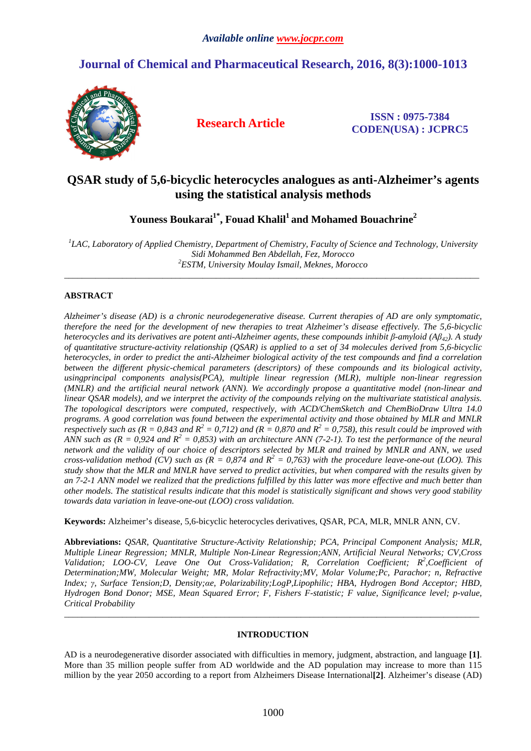# **Journal of Chemical and Pharmaceutical Research, 2016, 8(3):1000-1013**



**Research Article ISSN : 0975-7384 CODEN(USA) : JCPRC5**

# **QSAR study of 5,6-bicyclic heterocycles analogues as anti-Alzheimer's agents using the statistical analysis methods**

**Youness Boukarai1\*, Fouad Khalil<sup>1</sup>and Mohamed Bouachrine<sup>2</sup>**

<sup>1</sup>LAC, Laboratory of Applied Chemistry, Department of Chemistry, Faculty of Science and Technology, University *Sidi Mohammed Ben Abdellah, Fez, Morocco <sup>2</sup>ESTM, University Moulay Ismail, Meknes, Morocco* 

\_\_\_\_\_\_\_\_\_\_\_\_\_\_\_\_\_\_\_\_\_\_\_\_\_\_\_\_\_\_\_\_\_\_\_\_\_\_\_\_\_\_\_\_\_\_\_\_\_\_\_\_\_\_\_\_\_\_\_\_\_\_\_\_\_\_\_\_\_\_\_\_\_\_\_\_\_\_\_\_\_\_\_\_\_\_\_\_\_\_\_\_\_

## **ABSTRACT**

*Alzheimer's disease (AD) is a chronic neurodegenerative disease. Current therapies of AD are only symptomatic, therefore the need for the development of new therapies to treat Alzheimer's disease effectively. The 5,6-bicyclic heterocycles and its derivatives are potent anti-Alzheimer agents, these compounds inhibit β-amyloid (Aβ42). A study of quantitative structure-activity relationship (QSAR) is applied to a set of 34 molecules derived from 5,6-bicyclic heterocycles, in order to predict the anti-Alzheimer biological activity of the test compounds and find a correlation between the different physic-chemical parameters (descriptors) of these compounds and its biological activity, usingprincipal components analysis(PCA), multiple linear regression (MLR), multiple non-linear regression (MNLR) and the artificial neural network (ANN). We accordingly propose a quantitative model (non-linear and linear QSAR models), and we interpret the activity of the compounds relying on the multivariate statistical analysis. The topological descriptors were computed, respectively, with ACD/ChemSketch and ChemBioDraw Ultra 14.0 programs. A good correlation was found between the experimental activity and those obtained by MLR and MNLR respectively such as (R = 0,843 and R<sup>2</sup> = 0,712) and (R = 0,870 and R<sup>2</sup> = 0,758), this result could be improved with* ANN such as  $(R = 0.924$  and  $R^2 = 0.853$ ) with an architecture ANN (7-2-1). To test the performance of the neural *network and the validity of our choice of descriptors selected by MLR and trained by MNLR and ANN, we used cross-validation method (CV) such as (* $\overline{R}$  *= 0,874 and*  $\overline{R}$ *<sup>2</sup> = 0,763) with the procedure leave-one-out (LOO). This study show that the MLR and MNLR have served to predict activities, but when compared with the results given by an 7-2-1 ANN model we realized that the predictions fulfilled by this latter was more effective and much better than other models. The statistical results indicate that this model is statistically significant and shows very good stability towards data variation in leave-one-out (LOO) cross validation.* 

**Keywords:** Alzheimer's disease, 5,6-bicyclic heterocycles derivatives, QSAR, PCA, MLR, MNLR ANN, CV.

**Abbreviations:** *QSAR, Quantitative Structure-Activity Relationship; PCA, Principal Component Analysis; MLR, Multiple Linear Regression; MNLR, Multiple Non-Linear Regression;ANN, Artificial Neural Networks; CV,Cross*  Validation; LOO-CV, Leave One Out Cross-Validation; R, Correlation Coefficient; R<sup>2</sup>, Coefficient of *Determination;MW, Molecular Weight; MR, Molar Refractivity;MV, Molar Volume;Pc, Parachor; n, Refractive Index; γ, Surface Tension;D, Density;αe, Polarizability;LogP,Lipophilic; HBA, Hydrogen Bond Acceptor; HBD, Hydrogen Bond Donor; MSE, Mean Squared Error; F, Fishers F-statistic; F value, Significance level; p-value, Critical Probability* 

### **INTRODUCTION**

\_\_\_\_\_\_\_\_\_\_\_\_\_\_\_\_\_\_\_\_\_\_\_\_\_\_\_\_\_\_\_\_\_\_\_\_\_\_\_\_\_\_\_\_\_\_\_\_\_\_\_\_\_\_\_\_\_\_\_\_\_\_\_\_\_\_\_\_\_\_\_\_\_\_\_\_\_\_\_\_\_\_\_\_\_\_\_\_\_\_\_\_\_

AD is a neurodegenerative disorder associated with difficulties in memory, judgment, abstraction, and language **[1]**. More than 35 million people suffer from AD worldwide and the AD population may increase to more than 115 million by the year 2050 according to a report from Alzheimers Disease International**[2]**. Alzheimer's disease (AD)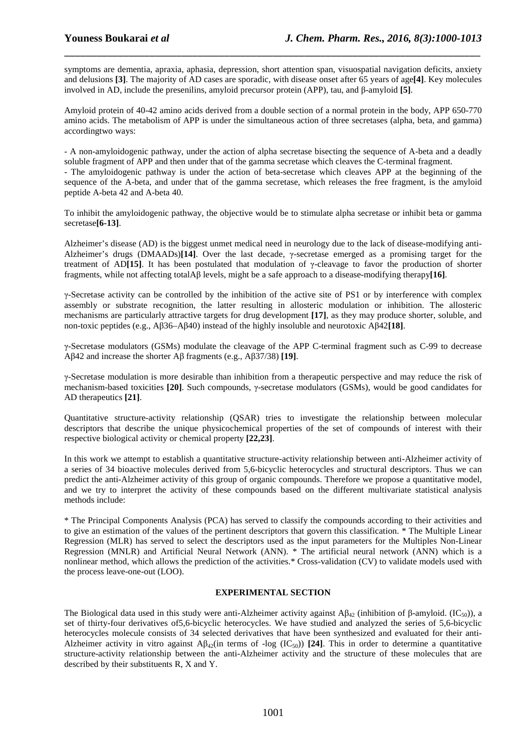symptoms are dementia, apraxia, aphasia, depression, short attention span, visuospatial navigation deficits, anxiety and delusions **[3]**. The majority of AD cases are sporadic, with disease onset after 65 years of age**[4]**. Key molecules involved in AD, include the presenilins, amyloid precursor protein (APP), tau, and β-amyloid **[5]**.

\_\_\_\_\_\_\_\_\_\_\_\_\_\_\_\_\_\_\_\_\_\_\_\_\_\_\_\_\_\_\_\_\_\_\_\_\_\_\_\_\_\_\_\_\_\_\_\_\_\_\_\_\_\_\_\_\_\_\_\_\_\_\_\_\_\_\_\_\_\_\_\_\_\_\_\_\_\_

Amyloid protein of 40-42 amino acids derived from a double section of a normal protein in the body, APP 650-770 amino acids. The metabolism of APP is under the simultaneous action of three secretases (alpha, beta, and gamma) accordingtwo ways:

- A non-amyloidogenic pathway, under the action of alpha secretase bisecting the sequence of A-beta and a deadly soluble fragment of APP and then under that of the gamma secretase which cleaves the C-terminal fragment. - The amyloidogenic pathway is under the action of beta-secretase which cleaves APP at the beginning of the sequence of the A-beta, and under that of the gamma secretase, which releases the free fragment, is the amyloid peptide A-beta 42 and A-beta 40.

To inhibit the amyloidogenic pathway, the objective would be to stimulate alpha secretase or inhibit beta or gamma secretase**[6-13]**.

Alzheimer's disease (AD) is the biggest unmet medical need in neurology due to the lack of disease-modifying anti-Alzheimer's drugs (DMAADs)**[14]**. Over the last decade, γ-secretase emerged as a promising target for the treatment of AD**[15]**. It has been postulated that modulation of γ-cleavage to favor the production of shorter fragments, while not affecting totalAβ levels, might be a safe approach to a disease-modifying therapy**[16]**.

γ-Secretase activity can be controlled by the inhibition of the active site of PS1 or by interference with complex assembly or substrate recognition, the latter resulting in allosteric modulation or inhibition. The allosteric mechanisms are particularly attractive targets for drug development **[17]**, as they may produce shorter, soluble, and non-toxic peptides (e.g., Aβ36–Aβ40) instead of the highly insoluble and neurotoxic Aβ42**[18]**.

γ-Secretase modulators (GSMs) modulate the cleavage of the APP C-terminal fragment such as C-99 to decrease Aβ42 and increase the shorter Aβ fragments (e.g., Aβ37/38) **[19]**.

γ-Secretase modulation is more desirable than inhibition from a therapeutic perspective and may reduce the risk of mechanism-based toxicities **[20]**. Such compounds, γ-secretase modulators (GSMs), would be good candidates for AD therapeutics **[21]**.

Quantitative structure-activity relationship (QSAR) tries to investigate the relationship between molecular descriptors that describe the unique physicochemical properties of the set of compounds of interest with their respective biological activity or chemical property **[22,23]**.

In this work we attempt to establish a quantitative structure-activity relationship between anti-Alzheimer activity of a series of 34 bioactive molecules derived from 5,6-bicyclic heterocycles and structural descriptors. Thus we can predict the anti-Alzheimer activity of this group of organic compounds. Therefore we propose a quantitative model, and we try to interpret the activity of these compounds based on the different multivariate statistical analysis methods include:

\* The Principal Components Analysis (PCA) has served to classify the compounds according to their activities and to give an estimation of the values of the pertinent descriptors that govern this classification. \* The Multiple Linear Regression (MLR) has served to select the descriptors used as the input parameters for the Multiples Non-Linear Regression (MNLR) and Artificial Neural Network (ANN). \* The artificial neural network (ANN) which is a nonlinear method, which allows the prediction of the activities.\* Cross-validation (CV) to validate models used with the process leave-one-out (LOO).

### **EXPERIMENTAL SECTION**

The Biological data used in this study were anti-Alzheimer activity against Aβ<sub>42</sub> (inhibition of β-amyloid. (IC<sub>50</sub>)), a set of thirty-four derivatives of5,6-bicyclic heterocycles. We have studied and analyzed the series of 5,6-bicyclic heterocycles molecule consists of 34 selected derivatives that have been synthesized and evaluated for their anti-Alzheimer activity in vitro against  $\mathbf{A}\mathbf{B}_{42}$  (in terms of -log (IC<sub>50</sub>)) [24]. This in order to determine a quantitative structure-activity relationship between the anti-Alzheimer activity and the structure of these molecules that are described by their substituents R, X and Y.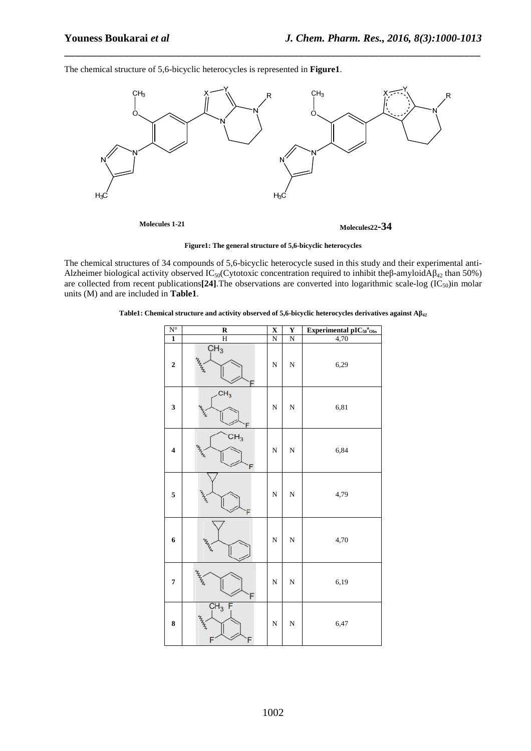The chemical structure of 5,6-bicyclic heterocycles is represented in **Figure1**.



\_\_\_\_\_\_\_\_\_\_\_\_\_\_\_\_\_\_\_\_\_\_\_\_\_\_\_\_\_\_\_\_\_\_\_\_\_\_\_\_\_\_\_\_\_\_\_\_\_\_\_\_\_\_\_\_\_\_\_\_\_\_\_\_\_\_\_\_\_\_\_\_\_\_\_\_\_\_

**Figure1: The general structure of 5,6-bicyclic heterocycles** 

The chemical structures of 34 compounds of 5,6-bicyclic heterocycle sused in this study and their experimental anti-Alzheimer biological activity observed IC<sub>50</sub>(Cytotoxic concentration required to inhibit theβ-amyloidA $\beta_{42}$  than 50%) are collected from recent publications<sup>[24]</sup>. The observations are converted into logarithmic scale-log  $(IC_{50})$ in molar units (M) and are included in **Table1**.

|  | Table1: Chemical structure and activity observed of 5,6-bicyclic heterocycles derivatives against $A\beta_{42}$ |  |  |  |  |
|--|-----------------------------------------------------------------------------------------------------------------|--|--|--|--|
|  |                                                                                                                 |  |  |  |  |

| $N^{\circ}$             | $\overline{\mathbf{R}}$    | $\overline{\mathbf{X}}$ | $\overline{\mathbf{Y}}$ | Experimental $\mathbf{pIC}_{50}^{a}{}_{\mathrm{Obs}}$ |
|-------------------------|----------------------------|-------------------------|-------------------------|-------------------------------------------------------|
| $\overline{1}$          | $\overline{\rm H}$         | $\overline{N}$          | N                       | 4,70                                                  |
| $\overline{\mathbf{c}}$ | CH <sub>3</sub>            | N                       | N                       | 6,29                                                  |
| 3                       | CH <sub>3</sub><br>z,<br>F | N                       | $\mathbf N$             | 6,81                                                  |
| $\overline{\mathbf{4}}$ | CH <sub>3</sub><br>F       | N                       | $\mathbf N$             | 6,84                                                  |
| 5                       | <b>MARITA</b><br>F         | N                       | $\mathbf N$             | 4,79                                                  |
| 6                       |                            | N                       | $\mathbf N$             | 4,70                                                  |
| 7                       | F                          | $\overline{\rm N}$      | $\mathbf N$             | 6,19                                                  |
| 8                       | $CH_3 F$<br>F              | N                       | $\mathbf N$             | 6,47                                                  |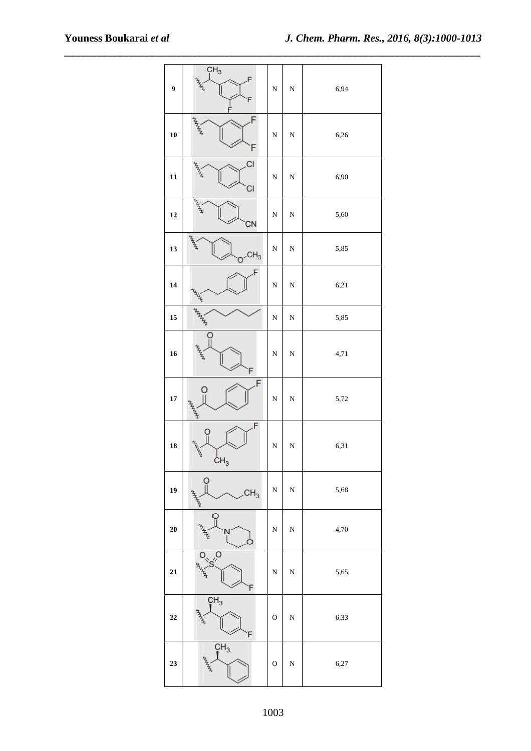| 9          | CH <sub>3</sub><br>$\frac{1}{2}$<br>F<br>F              | $\overline{\bf N}$ | ${\bf N}$   | 6,94 |
|------------|---------------------------------------------------------|--------------------|-------------|------|
| 10         | F                                                       | $\mathbf N$        | $\mathbf N$ | 6,26 |
| 11         | CI<br>CI                                                | $\mathbf N$        | ${\bf N}$   | 6,90 |
| 12         | $\frac{1}{2}$<br>CN                                     | $\mathbf N$        | ${\bf N}$   | 5,60 |
| 13         | $\frac{L_{\rm p}}{L}$<br>$O$ <sup>-CH<sub>3</sub></sup> | $\mathbf N$        | ${\bf N}$   | 5,85 |
| 14         | F<br>$\frac{p_{\nu_1}}{p_{\nu_2}}$                      | $\mathbf N$        | ${\bf N}$   | 6,21 |
| 15         | HAMIN                                                   | $\overline{\rm N}$ | ${\bf N}$   | 5,85 |
| 16         | O<br>F                                                  | $\overline{\rm N}$ | ${\bf N}$   | 4,71 |
| $\bf 17$   | F<br>$\circ$                                            | $\mathbf N$        | ${\bf N}$   | 5,72 |
| 18         | F<br>CH <sub>3</sub>                                    | $\mathbf N$        | $\mathbf N$ | 6,31 |
| 19         | $\frac{0}{1}$<br>CH <sub>3</sub><br>HANNA               | $\overline{\rm N}$ | $\mathbf N$ | 5,68 |
| $20\,$     | ဂူ<br>N<br>⊂                                            | $\overline{\rm N}$ | $\mathbf N$ | 4,70 |
| ${\bf 21}$ | $\overline{S}$<br>F                                     | $\overline{\rm N}$ | ${\bf N}$   | 5,65 |
| 22         | CH <sub>3</sub><br>F                                    | $\mathbf O$        | ${\bf N}$   | 6,33 |
| 23         | CH <sub>3</sub>                                         | $\mathbf O$        | ${\bf N}$   | 6,27 |

\_\_\_\_\_\_\_\_\_\_\_\_\_\_\_\_\_\_\_\_\_\_\_\_\_\_\_\_\_\_\_\_\_\_\_\_\_\_\_\_\_\_\_\_\_\_\_\_\_\_\_\_\_\_\_\_\_\_\_\_\_\_\_\_\_\_\_\_\_\_\_\_\_\_\_\_\_\_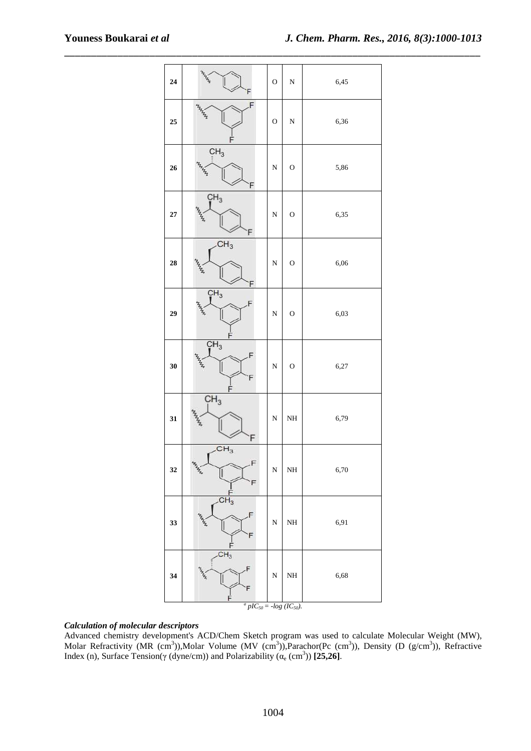| 24         | white contract of                                                     | $\mathbf O$        | ${\bf N}$   | 6,45 |
|------------|-----------------------------------------------------------------------|--------------------|-------------|------|
| ${\bf 25}$ | F<br>$\mathbf{z}_{\mathbf{z}_{\mathbf{z}_{\mathbf{z}_{\mathbf{z}}}}}$ | $\mathbf O$        | $\mathbf N$ | 6,36 |
| 26         | CH <sub>3</sub><br>F                                                  | ${\bf N}$          | $\mathbf O$ | 5,86 |
| $\bf 27$   | CH <sub>3</sub>                                                       | ${\bf N}$          | $\mathbf O$ | 6,35 |
| 28         | CH <sub>3</sub><br>F                                                  | ${\bf N}$          | $\mathbf O$ | 6,06 |
| 29         | CH <sub>3</sub>                                                       | $\overline{\rm N}$ | $\mathbf O$ | 6,03 |
| 30         | CH <sub>3</sub><br>F                                                  | ${\bf N}$          | $\mathbf O$ | 6,27 |
| 31         | CH <sub>3</sub><br>F                                                  | ${\bf N}$          | NH          | 6,79 |
| 32         | CH <sub>3</sub><br><b>HARA</b><br>F                                   | $\overline{\bf N}$ | NH          | 6,70 |
| 33         | CH <sub>3</sub><br>F<br>F                                             | $\overline{\bf N}$ | NH          | 6,91 |
| 34         | CH <sub>3</sub><br>F<br>F                                             | $\overline{\bf N}$ | NH          | 6,68 |

\_\_\_\_\_\_\_\_\_\_\_\_\_\_\_\_\_\_\_\_\_\_\_\_\_\_\_\_\_\_\_\_\_\_\_\_\_\_\_\_\_\_\_\_\_\_\_\_\_\_\_\_\_\_\_\_\_\_\_\_\_\_\_\_\_\_\_\_\_\_\_\_\_\_\_\_\_\_

 $^{a}$  *pIC*<sub>50</sub> = -*log* (*IC*<sub>50</sub>).

### *Calculation of molecular descriptors*

Advanced chemistry development's ACD/Chem Sketch program was used to calculate Molecular Weight (MW), Molar Refractivity (MR (cm<sup>3</sup>)),Molar Volume (MV (cm<sup>3</sup>)),Parachor(Pc (cm<sup>3</sup>)), Density (D (g/cm<sup>3</sup>)), Refractive Index (n), Surface Tension( $\gamma$  (dyne/cm)) and Polarizability ( $\alpha_e$  (cm<sup>3</sup>)) [25,26].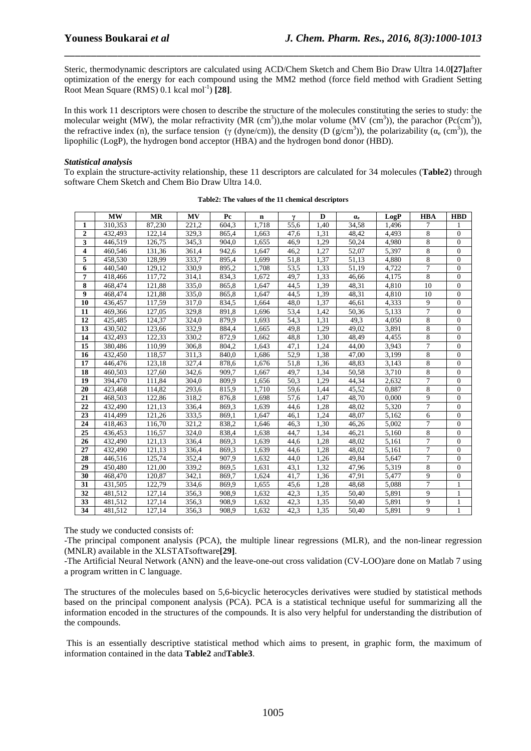Steric, thermodynamic descriptors are calculated using ACD/Chem Sketch and Chem Bio Draw Ultra 14.0**[27]**after optimization of the energy for each compound using the MM2 method (force field method with Gradient Setting Root Mean Square (RMS) 0.1 kcal mol<sup>-1</sup>) [28].

\_\_\_\_\_\_\_\_\_\_\_\_\_\_\_\_\_\_\_\_\_\_\_\_\_\_\_\_\_\_\_\_\_\_\_\_\_\_\_\_\_\_\_\_\_\_\_\_\_\_\_\_\_\_\_\_\_\_\_\_\_\_\_\_\_\_\_\_\_\_\_\_\_\_\_\_\_\_

In this work 11 descriptors were chosen to describe the structure of the molecules constituting the series to study: the molecular weight (MW), the molar refractivity (MR (cm<sup>3</sup>)), the molar volume (MV (cm<sup>3</sup>)), the parachor (Pc(cm<sup>3</sup>)), the refractive index (n), the surface tension (γ (dyne/cm)), the density (D (g/cm<sup>3</sup>)), the polarizability ( $\alpha_e$  (cm<sup>3</sup>)), the lipophilic (LogP), the hydrogen bond acceptor (HBA) and the hydrogen bond donor (HBD).

### *Statistical analysis*

To explain the structure-activity relationship, these 11 descriptors are calculated for 34 molecules (**Table2**) through software Chem Sketch and Chem Bio Draw Ultra 14.0.

|                         | <b>MW</b> | <b>MR</b> | <b>MV</b> | Pc    | $\mathbf n$ | γ    | D    | $\alpha_{\rm e}$ | LogP  | <b>HBA</b>     | <b>HBD</b>       |
|-------------------------|-----------|-----------|-----------|-------|-------------|------|------|------------------|-------|----------------|------------------|
| 1                       | 310,353   | 87.230    | 221.2     | 604.3 | 1,718       | 55.6 | 1,40 | 34,58            | 1,496 | 7              | 1                |
| $\overline{2}$          | 432,493   | 122.14    | 329,3     | 865.4 | 1,663       | 47.6 | 1,31 | 48.42            | 4,493 | 8              | $\overline{0}$   |
| 3                       | 446,519   | 126,75    | 345,3     | 904.0 | 1,655       | 46.9 | 1,29 | 50,24            | 4,980 | 8              | $\overline{0}$   |
| $\overline{\mathbf{4}}$ | 460.546   | 131.36    | 361,4     | 942.6 | 1.647       | 46,2 | 1,27 | 52,07            | 5.397 | 8              | $\overline{0}$   |
| 5                       | 458,530   | 128,99    | 333,7     | 895,4 | 1,699       | 51,8 | 1,37 | 51,13            | 4,880 | 8              | $\boldsymbol{0}$ |
| 6                       | 440.540   | 129.12    | 330.9     | 895,2 | 1,708       | 53,5 | 1,33 | 51.19            | 4,722 | 7              | $\boldsymbol{0}$ |
| 7                       | 418,466   | 117.72    | 314.1     | 834.3 | 1.672       | 49.7 | 1.33 | 46.66            | 4.175 | 8              | $\overline{0}$   |
| 8                       | 468,474   | 121,88    | 335,0     | 865,8 | 1,647       | 44,5 | 1,39 | 48,31            | 4,810 | 10             | $\overline{0}$   |
| 9                       | 468,474   | 121,88    | 335,0     | 865,8 | 1,647       | 44,5 | 1,39 | 48,31            | 4,810 | 10             | $\overline{0}$   |
| 10                      | 436,457   | 117,59    | 317.0     | 834.5 | 1.664       | 48.0 | 1.37 | 46.61            | 4,333 | 9              | $\overline{0}$   |
| 11                      | 469,366   | 127,05    | 329,8     | 891,8 | 1,696       | 53,4 | 1,42 | 50,36            | 5,133 | $\overline{7}$ | $\overline{0}$   |
| 12                      | 425,485   | 124,37    | 324,0     | 879,9 | 1,693       | 54.3 | 1,31 | 49,3             | 4,050 | 8              | $\overline{0}$   |
| 13                      | 430,502   | 123,66    | 332,9     | 884,4 | 1,665       | 49,8 | 1,29 | 49,02            | 3,891 | 8              | $\overline{0}$   |
| 14                      | 432,493   | 122.33    | 330.2     | 872,9 | 1.662       | 48,8 | 1,30 | 48,49            | 4,455 | 8              | $\overline{0}$   |
| 15                      | 380,486   | 110.99    | 306,8     | 804,2 | 1,643       | 47,1 | 1,24 | 44,00            | 3,943 | 7              | $\overline{0}$   |
| 16                      | 432,450   | 118.57    | 311.3     | 840.0 | 1,686       | 52.9 | 1,38 | 47.00            | 3,199 | 8              | $\overline{0}$   |
| 17                      | 446,476   | 123.18    | 327.4     | 878.6 | 1,676       | 51.8 | 1.36 | 48.83            | 3,143 | 8              | $\mathbf{0}$     |
| 18                      | 460,503   | 127,60    | 342,6     | 909,7 | 1,667       | 49,7 | 1,34 | 50,58            | 3,710 | 8              | $\overline{0}$   |
| 19                      | 394,470   | 111,84    | 304,0     | 809,9 | 1,656       | 50,3 | 1,29 | 44,34            | 2,632 | $\overline{7}$ | $\overline{0}$   |
| 20                      | 423,468   | 114,82    | 293,6     | 815,9 | 1.710       | 59.6 | 1.44 | 45,52            | 0.887 | 8              | $\overline{0}$   |
| 21                      | 468,503   | 122,86    | 318,2     | 876,8 | 1,698       | 57,6 | 1,47 | 48,70            | 0,000 | 9              | $\theta$         |
| 22                      | 432.490   | 121,13    | 336,4     | 869.3 | 1,639       | 44.6 | 1.28 | 48.02            | 5,320 | 7              | $\overline{0}$   |
| 23                      | 414.499   | 121,26    | 333,5     | 869.1 | 1.647       | 46.1 | 1.24 | 48.07            | 5.162 | 6              | $\overline{0}$   |
| 24                      | 418,463   | 116,70    | 321,2     | 838,2 | 1,646       | 46,3 | 1,30 | 46,26            | 5,002 | 7              | $\overline{0}$   |
| 25                      | 436,453   | 116.57    | 324,0     | 838,4 | 1,638       | 44,7 | 1,34 | 46,21            | 5,160 | 8              | $\overline{0}$   |
| 26                      | 432,490   | 121.13    | 336,4     | 869.3 | 1,639       | 44,6 | 1.28 | 48.02            | 5,161 | 7              | $\overline{0}$   |
| 27                      | 432,490   | 121,13    | 336.4     | 869.3 | 1,639       | 44,6 | 1.28 | 48.02            | 5,161 | 7              | $\mathbf{0}$     |
| 28                      | 446,516   | 125,74    | 352,4     | 907,9 | 1,632       | 44,0 | 1,26 | 49,84            | 5,647 | 7              | $\overline{0}$   |
| 29                      | 450,480   | 121,00    | 339,2     | 869,5 | 1,631       | 43,1 | 1,32 | 47,96            | 5,319 | 8              | $\overline{0}$   |
| 30                      | 468,470   | 120.87    | 342.1     | 869.7 | 1.624       | 41,7 | 1,36 | 47,91            | 5,477 | 9              | $\overline{0}$   |
| 31                      | 431,505   | 122.79    | 334,6     | 869,9 | 1,655       | 45,6 | 1,28 | 48,68            | 5,088 | $\overline{7}$ | 1                |
| 32                      | 481,512   | 127,14    | 356,3     | 908.9 | 1,632       | 42.3 | 1.35 | 50,40            | 5,891 | 9              | $\mathbf{1}$     |
| 33                      | 481,512   | 127,14    | 356,3     | 908.9 | 1,632       | 42,3 | 1,35 | 50.40            | 5,891 | 9              | 1                |
| 34                      | 481,512   | 127,14    | 356,3     | 908,9 | 1,632       | 42,3 | 1,35 | 50,40            | 5,891 | 9              | 1                |

|  |  |  |  |  |  |  | Table2: The values of the 11 chemical descriptors |
|--|--|--|--|--|--|--|---------------------------------------------------|
|--|--|--|--|--|--|--|---------------------------------------------------|

The study we conducted consists of:

-The principal component analysis (PCA), the multiple linear regressions (MLR), and the non-linear regression (MNLR) available in the XLSTATsoftware**[29]**.

-The Artificial Neural Network (ANN) and the leave-one-out cross validation (CV-LOO)are done on Matlab 7 using a program written in C language.

The structures of the molecules based on 5,6-bicyclic heterocycles derivatives were studied by statistical methods based on the principal component analysis (PCA). PCA is a statistical technique useful for summarizing all the information encoded in the structures of the compounds. It is also very helpful for understanding the distribution of the compounds.

 This is an essentially descriptive statistical method which aims to present, in graphic form, the maximum of information contained in the data **Table2** and**Table3**.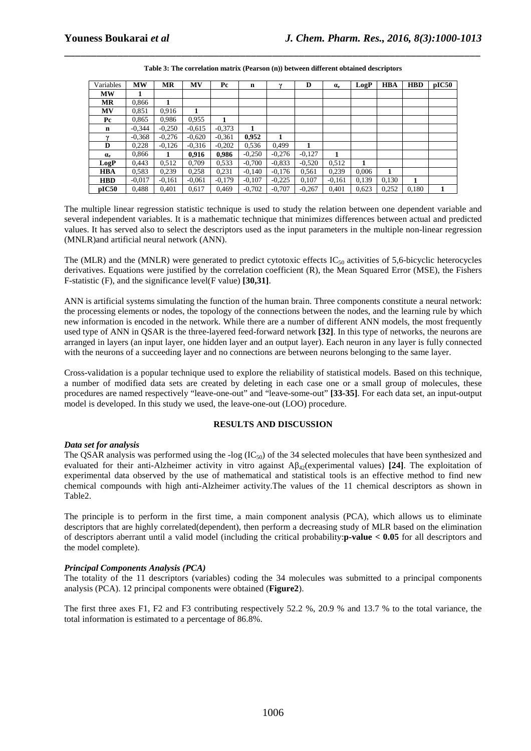| Variables        | <b>MW</b> | <b>MR</b> | <b>MV</b> | Pc       | n        |          | D        | $\alpha_{\rm e}$ | LogP  | <b>HBA</b> | <b>HBD</b> | pIC50 |
|------------------|-----------|-----------|-----------|----------|----------|----------|----------|------------------|-------|------------|------------|-------|
| <b>MW</b>        |           |           |           |          |          |          |          |                  |       |            |            |       |
| <b>MR</b>        | 0,866     | 1         |           |          |          |          |          |                  |       |            |            |       |
| <b>MV</b>        | 0,851     | 0.916     |           |          |          |          |          |                  |       |            |            |       |
| Pc               | 0,865     | 0.986     | 0,955     |          |          |          |          |                  |       |            |            |       |
| $\mathbf n$      | $-0.344$  | $-0,250$  | $-0.615$  | $-0.373$ |          |          |          |                  |       |            |            |       |
| $\mathbf v$      | $-0.368$  | $-0.276$  | $-0.620$  | $-0,361$ | 0,952    | 1        |          |                  |       |            |            |       |
| D                | 0,228     | $-0,126$  | $-0.316$  | $-0,202$ | 0,536    | 0.499    |          |                  |       |            |            |       |
| $\alpha_{\rm e}$ | 0.866     |           | 0,916     | 0,986    | $-0,250$ | $-0.276$ | $-0.127$ |                  |       |            |            |       |
| LogP             | 0.443     | 0,512     | 0.709     | 0.533    | $-0.700$ | $-0,833$ | $-0.520$ | 0,512            | 1     |            |            |       |
| <b>HBA</b>       | 0.583     | 0,239     | 0,258     | 0,231    | $-0.140$ | $-0.176$ | 0.561    | 0,239            | 0.006 | 1          |            |       |
| <b>HBD</b>       | $-0.017$  | $-0,161$  | $-0.061$  | $-0.179$ | $-0.107$ | $-0,225$ | 0,107    | $-0,161$         | 0,139 | 0,130      | 1          |       |
| pIC50            | 0.488     | 0.401     | 0,617     | 0.469    | $-0.702$ | $-0,707$ | $-0,267$ | 0.401            | 0,623 | 0,252      | 0.180      | 1     |

\_\_\_\_\_\_\_\_\_\_\_\_\_\_\_\_\_\_\_\_\_\_\_\_\_\_\_\_\_\_\_\_\_\_\_\_\_\_\_\_\_\_\_\_\_\_\_\_\_\_\_\_\_\_\_\_\_\_\_\_\_\_\_\_\_\_\_\_\_\_\_\_\_\_\_\_\_\_ **Table 3: The correlation matrix (Pearson (n)) between different obtained descriptors** 

The multiple linear regression statistic technique is used to study the relation between one dependent variable and several independent variables. It is a mathematic technique that minimizes differences between actual and predicted values. It has served also to select the descriptors used as the input parameters in the multiple non-linear regression (MNLR)and artificial neural network (ANN).

The (MLR) and the (MNLR) were generated to predict cytotoxic effects  $IC_{50}$  activities of 5,6-bicyclic heterocycles derivatives. Equations were justified by the correlation coefficient (R), the Mean Squared Error (MSE), the Fishers F-statistic (F), and the significance level(F value) **[30,31]**.

ANN is artificial systems simulating the function of the human brain. Three components constitute a neural network: the processing elements or nodes, the topology of the connections between the nodes, and the learning rule by which new information is encoded in the network. While there are a number of different ANN models, the most frequently used type of ANN in QSAR is the three-layered feed-forward network **[32]**. In this type of networks, the neurons are arranged in layers (an input layer, one hidden layer and an output layer). Each neuron in any layer is fully connected with the neurons of a succeeding layer and no connections are between neurons belonging to the same layer.

Cross-validation is a popular technique used to explore the reliability of statistical models. Based on this technique, a number of modified data sets are created by deleting in each case one or a small group of molecules, these procedures are named respectively "leave-one-out" and "leave-some-out" **[33-35]**. For each data set, an input-output model is developed. In this study we used, the leave-one-out (LOO) procedure.

### **RESULTS AND DISCUSSION**

### *Data set for analysis*

The QSAR analysis was performed using the -log ( $IC_{50}$ ) of the 34 selected molecules that have been synthesized and evaluated for their anti-Alzheimer activity in vitro against Aβ42(experimental values) **[24]**. The exploitation of experimental data observed by the use of mathematical and statistical tools is an effective method to find new chemical compounds with high anti-Alzheimer activity.The values of the 11 chemical descriptors as shown in Table2.

The principle is to perform in the first time, a main component analysis (PCA), which allows us to eliminate descriptors that are highly correlated(dependent), then perform a decreasing study of MLR based on the elimination of descriptors aberrant until a valid model (including the critical probability:**p-value < 0.05** for all descriptors and the model complete).

## *Principal Components Analysis (PCA)*

The totality of the 11 descriptors (variables) coding the 34 molecules was submitted to a principal components analysis (PCA). 12 principal components were obtained (**Figure2**).

The first three axes F1, F2 and F3 contributing respectively 52.2 %, 20.9 % and 13.7 % to the total variance, the total information is estimated to a percentage of 86.8%.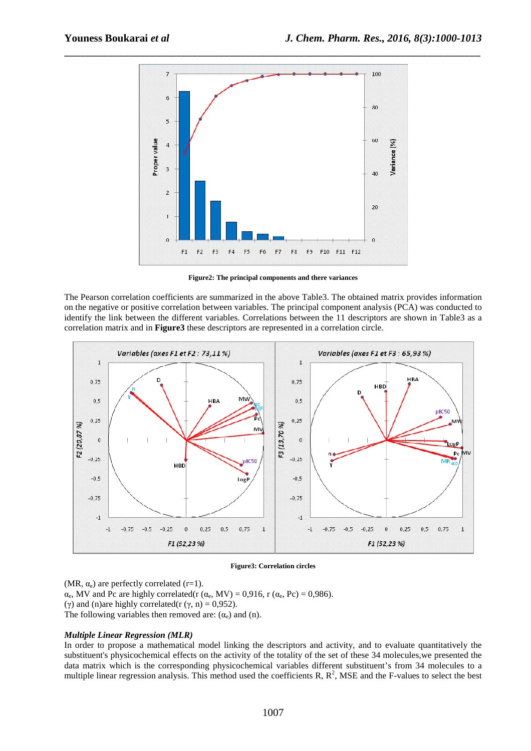

**Figure2: The principal components and there variances** 

The Pearson correlation coefficients are summarized in the above Table3. The obtained matrix provides information on the negative or positive correlation between variables. The principal component analysis (PCA) was conducted to identify the link between the different variables. Correlations between the 11 descriptors are shown in Table3 as a correlation matrix and in **Figure3** these descriptors are represented in a correlation circle.



### **Figure3: Correlation circles**

(MR,  $\alpha_e$ ) are perfectly correlated (r=1).  $\alpha_e$ , MV and Pc are highly correlated(r ( $\alpha_e$ , MV) = 0,916, r ( $\alpha_e$ , Pc) = 0,986). (γ) and (n)are highly correlated(r (γ, n) = 0,952). The following variables then removed are:  $(\alpha_e)$  and (n).

### *Multiple Linear Regression (MLR)*

In order to propose a mathematical model linking the descriptors and activity, and to evaluate quantitatively the substituent's physicochemical effects on the activity of the totality of the set of these 34 molecules,we presented the data matrix which is the corresponding physicochemical variables different substituent's from 34 molecules to a multiple linear regression analysis. This method used the coefficients R,  $R^2$ , MSE and the F-values to select the best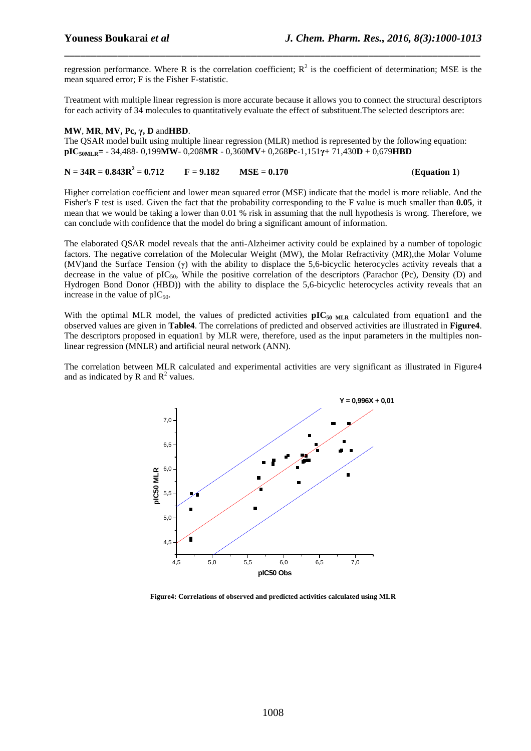regression performance. Where R is the correlation coefficient;  $R^2$  is the coefficient of determination; MSE is the mean squared error; F is the Fisher F-statistic.

\_\_\_\_\_\_\_\_\_\_\_\_\_\_\_\_\_\_\_\_\_\_\_\_\_\_\_\_\_\_\_\_\_\_\_\_\_\_\_\_\_\_\_\_\_\_\_\_\_\_\_\_\_\_\_\_\_\_\_\_\_\_\_\_\_\_\_\_\_\_\_\_\_\_\_\_\_\_

Treatment with multiple linear regression is more accurate because it allows you to connect the structural descriptors for each activity of 34 molecules to quantitatively evaluate the effect of substituent.The selected descriptors are:

### **MW**, **MR**, **MV, Pc, γ, D** and**HBD**.

The QSAR model built using multiple linear regression (MLR) method is represented by the following equation: **pIC50MLR=** - 34,488- 0,199**MW**- 0,208**MR** - 0,360**MV**+ 0,268**Pc**-1,151**γ**+ 71,430**D** + 0,679**HBD** 

### $N = 34R = 0.843R^2 = 0.712$  $F = 9.182$  MSE = 0.170 (Equation 1)

Higher correlation coefficient and lower mean squared error (MSE) indicate that the model is more reliable. And the Fisher's F test is used. Given the fact that the probability corresponding to the F value is much smaller than **0.05**, it mean that we would be taking a lower than 0.01 % risk in assuming that the null hypothesis is wrong. Therefore, we can conclude with confidence that the model do bring a significant amount of information.

The elaborated QSAR model reveals that the anti-Alzheimer activity could be explained by a number of topologic factors. The negative correlation of the Molecular Weight (MW), the Molar Refractivity (MR),the Molar Volume (MV)and the Surface Tension (γ) with the ability to displace the 5,6-bicyclic heterocycles activity reveals that a decrease in the value of  $pIC_{50}$ , While the positive correlation of the descriptors (Parachor (Pc), Density (D) and Hydrogen Bond Donor (HBD)) with the ability to displace the 5,6-bicyclic heterocycles activity reveals that an increase in the value of  $pIC_{50}$ .

With the optimal MLR model, the values of predicted activities **pIC**<sub>50 MLR</sub> calculated from equation1 and the observed values are given in **Table4**. The correlations of predicted and observed activities are illustrated in **Figure4**. The descriptors proposed in equation1 by MLR were, therefore, used as the input parameters in the multiples nonlinear regression (MNLR) and artificial neural network (ANN).

The correlation between MLR calculated and experimental activities are very significant as illustrated in Figure4 and as indicated by R and  $R^2$  values.



**Figure4: Correlations of observed and predicted activities calculated using MLR**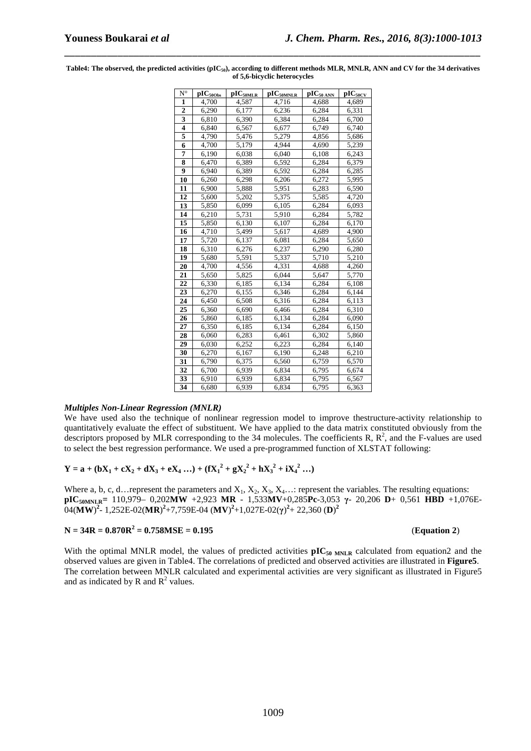| $N^{\circ}$             | $\overline{\text{pIC}_{500bs}}$ | $pIC_{50MLR}$ | pIC <sub>50MNLR</sub> | $pIC_{50 \text{ ANN}}$ | $\overline{\text{pIC}_{50\text{CV}}}$ |
|-------------------------|---------------------------------|---------------|-----------------------|------------------------|---------------------------------------|
| 1                       | 4,700                           | 4,587         | 4,716                 | 4,688                  | 4,689                                 |
| $\mathbf{2}$            | 6,290                           | 6,177         | 6,236                 | 6,284                  | 6,331                                 |
| $\overline{\mathbf{3}}$ | 6,810                           | 6,390         | 6,384                 | 6,284                  | 6,700                                 |
| $\overline{\mathbf{4}}$ | 6,840                           | 6,567         | 6,677                 | 6,749                  | 6,740                                 |
| 5                       | 4,790                           | 5,476         | 5,279                 | 4,856                  | 5,686                                 |
| $\overline{6}$          | 4,700                           | 5,179         | 4,944                 | 4,690                  | 5,239                                 |
| $\overline{7}$          | 6,190                           | 6,038         | 6,040                 | 6,108                  | 6,243                                 |
| $\overline{\mathbf{8}}$ | 6,470                           | 6,389         | 6,592                 | 6,284                  | 6,379                                 |
| 9                       | 6,940                           | 6,389         | 6,592                 | 6,284                  | 6,285                                 |
| 10                      | 6,260                           | 6,298         | 6,206                 | 6,272                  | 5,995                                 |
| 11                      | 6,900                           | 5,888         | 5,951                 | 6,283                  | 6,590                                 |
| 12                      | 5,600                           | 5,202         | 5,375                 | 5,585                  | 4,720                                 |
| 13                      | 5,850                           | 6,099         | 6,105                 | 6,284                  | 6,093                                 |
| 14                      | $\overline{6,}210$              | 5,731         | 5,910                 | 6,284                  | 5,782                                 |
| 15                      | 5,850                           | 6,130         | 6,107                 | 6,284                  | 6,170                                 |
| 16                      | 4,710                           | 5,499         | 5,617                 | 4,689                  | 4,900                                 |
| 17                      | 5,720                           | 6,137         | 6,081                 | 6,284                  | 5,650                                 |
| 18                      | 6,310                           | 6,276         | 6,237                 | 6,290                  | 6,280                                 |
| 19                      | 5,680                           | 5,591         | 5,337                 | 5,710                  | 5,210                                 |
| 20                      | $\overline{4,700}$              | 4,556         | 4,331                 | 4,688                  | 4,260                                 |
| 21                      | 5,650                           | 5,825         | 6,044                 | 5,647                  | 5,770                                 |
| 22                      | 6,330                           | 6,185         | 6,134                 | 6,284                  | 6,108                                 |
| 23                      | 6,270                           | 6,155         | 6,346                 | 6,284                  | 6,144                                 |
| 24                      | 6,450                           | 6,508         | 6,316                 | 6,284                  | 6,113                                 |
| 25                      | 6,360                           | 6,690         | 6,466                 | 6,284                  | 6,310                                 |
| 26                      | 5,860                           | 6,185         | 6,134                 | 6,284                  | 6,090                                 |
| 27                      | 6,350                           | 6,185         | 6,134                 | 6,284                  | 6,150                                 |
| 28                      | 6,060                           | 6,283         | 6,461                 | 6,302                  | 5,860                                 |
| 29                      | 6,030                           | 6,252         | 6,223                 | 6,284                  | 6,140                                 |
| 30                      | 6,270                           | 6,167         | 6,190                 | 6,248                  | 6,210                                 |
| 31                      | 6,790                           | 6,375         | 6,560                 | 6,759                  | 6,570                                 |
| 32                      | 6,700                           | 6,939         | 6,834                 | 6,795                  | 6,674                                 |
| 33                      | 6,910                           | 6,939         | 6,834                 | 6,795                  | 6,567                                 |
| 34                      | 6,680                           | 6,939         | 6,834                 | 6,795                  | 6,363                                 |

**Table4: The observed, the predicted activities (pIC50), according to different methods MLR, MNLR, ANN and CV for the 34 derivatives of 5,6-bicyclic heterocycles** 

\_\_\_\_\_\_\_\_\_\_\_\_\_\_\_\_\_\_\_\_\_\_\_\_\_\_\_\_\_\_\_\_\_\_\_\_\_\_\_\_\_\_\_\_\_\_\_\_\_\_\_\_\_\_\_\_\_\_\_\_\_\_\_\_\_\_\_\_\_\_\_\_\_\_\_\_\_\_

### *Multiples Non-Linear Regression (MNLR)*

We have used also the technique of nonlinear regression model to improve thestructure-activity relationship to quantitatively evaluate the effect of substituent. We have applied to the data matrix constituted obviously from the descriptors proposed by MLR corresponding to the 34 molecules. The coefficients R,  $\mathbb{R}^2$ , and the F-values are used to select the best regression performance. We used a pre-programmed function of XLSTAT following:

**Y** = **a** + (**bX**<sub>1</sub> + **cX**<sub>2</sub> + **dX**<sub>3</sub> + **eX**<sub>4</sub> ...) + (**fX**<sub>1</sub><sup>2</sup> + **gX**<sub>2</sub><sup>2</sup> + **hX**<sub>3</sub><sup>2</sup> + **iX**<sub>4</sub><sup>2</sup> ...)

Where a, b, c, d…represent the parameters and  $X_1, X_2, X_3, X_4, \ldots$  represent the variables. The resulting equations: **pIC50MNLR=** 110,979– 0,202**MW** +2,923 **MR** - 1,533**MV**+0,285**Pc**-3,053 **γ**- 20,206 **D**+ 0,561 **HBD** +1,076E- $(0.4 \, \text{(MW)}^2 - 1,252\text{E}-02(\text{MR})^2 + 7,759\text{E}-04\, \text{(MV)}^2 + 1,027\text{E}-02(\gamma)^2 + 22,360 \, \text{(D)}^2)$ 

### $N = 34R = 0.870R^2 = 0.758MSE = 0.195$  (Equation 2)

With the optimal MNLR model, the values of predicted activities  $pIC_{50 MNLR}$  calculated from equation2 and the observed values are given in Table4. The correlations of predicted and observed activities are illustrated in **Figure5**. The correlation between MNLR calculated and experimental activities are very significant as illustrated in Figure5 and as indicated by R and  $R^2$  values.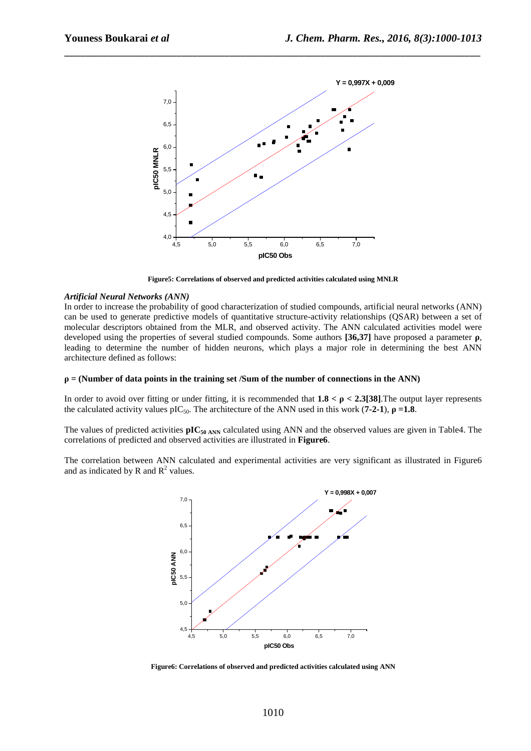

\_\_\_\_\_\_\_\_\_\_\_\_\_\_\_\_\_\_\_\_\_\_\_\_\_\_\_\_\_\_\_\_\_\_\_\_\_\_\_\_\_\_\_\_\_\_\_\_\_\_\_\_\_\_\_\_\_\_\_\_\_\_\_\_\_\_\_\_\_\_\_\_\_\_\_\_\_\_

**Figure5: Correlations of observed and predicted activities calculated using MNLR** 

### *Artificial Neural Networks (ANN)*

In order to increase the probability of good characterization of studied compounds, artificial neural networks (ANN) can be used to generate predictive models of quantitative structure-activity relationships (QSAR) between a set of molecular descriptors obtained from the MLR, and observed activity. The ANN calculated activities model were developed using the properties of several studied compounds. Some authors **[36,37]** have proposed a parameter **ρ**, leading to determine the number of hidden neurons, which plays a major role in determining the best ANN architecture defined as follows:

### $\rho$  = (Number of data points in the training set /Sum of the number of connections in the ANN)

In order to avoid over fitting or under fitting, it is recommended that  $1.8 < \rho < 2.3$ [38]. The output layer represents the calculated activity values pIC<sub>50</sub>. The architecture of the ANN used in this work (**7-2-1**),  $\rho = 1.8$ .

The values of predicted activities **pIC50 ANN** calculated using ANN and the observed values are given in Table4. The correlations of predicted and observed activities are illustrated in **Figure6**.

The correlation between ANN calculated and experimental activities are very significant as illustrated in Figure6 and as indicated by R and  $R^2$  values.



**Figure6: Correlations of observed and predicted activities calculated using ANN**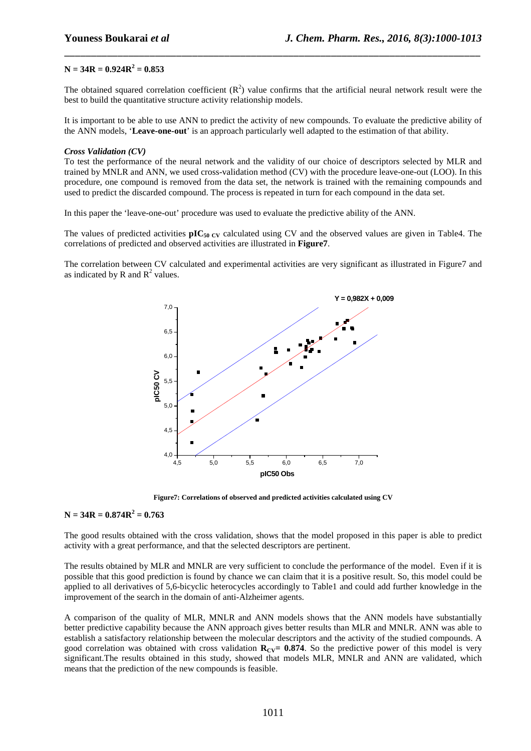### $N = 34R = 0.924R^2 = 0.853$

The obtained squared correlation coefficient  $(R^2)$  value confirms that the artificial neural network result were the best to build the quantitative structure activity relationship models.

\_\_\_\_\_\_\_\_\_\_\_\_\_\_\_\_\_\_\_\_\_\_\_\_\_\_\_\_\_\_\_\_\_\_\_\_\_\_\_\_\_\_\_\_\_\_\_\_\_\_\_\_\_\_\_\_\_\_\_\_\_\_\_\_\_\_\_\_\_\_\_\_\_\_\_\_\_\_

It is important to be able to use ANN to predict the activity of new compounds. To evaluate the predictive ability of the ANN models, '**Leave-one-out**' is an approach particularly well adapted to the estimation of that ability.

### *Cross Validation (CV)*

To test the performance of the neural network and the validity of our choice of descriptors selected by MLR and trained by MNLR and ANN, we used cross-validation method (CV) with the procedure leave-one-out (LOO). In this procedure, one compound is removed from the data set, the network is trained with the remaining compounds and used to predict the discarded compound. The process is repeated in turn for each compound in the data set.

In this paper the 'leave-one-out' procedure was used to evaluate the predictive ability of the ANN.

The values of predicted activities  $pIC_{50}$  cy calculated using CV and the observed values are given in Table4. The correlations of predicted and observed activities are illustrated in **Figure7**.

The correlation between CV calculated and experimental activities are very significant as illustrated in Figure7 and as indicated by R and  $R^2$  values.



**Figure7: Correlations of observed and predicted activities calculated using CV** 

### $N = 34R = 0.874R^2 = 0.763$

The good results obtained with the cross validation, shows that the model proposed in this paper is able to predict activity with a great performance, and that the selected descriptors are pertinent.

The results obtained by MLR and MNLR are very sufficient to conclude the performance of the model. Even if it is possible that this good prediction is found by chance we can claim that it is a positive result. So, this model could be applied to all derivatives of 5,6-bicyclic heterocycles accordingly to Table1 and could add further knowledge in the improvement of the search in the domain of anti-Alzheimer agents.

A comparison of the quality of MLR, MNLR and ANN models shows that the ANN models have substantially better predictive capability because the ANN approach gives better results than MLR and MNLR. ANN was able to establish a satisfactory relationship between the molecular descriptors and the activity of the studied compounds. A good correlation was obtained with cross validation  $\mathbf{R}_{CV}$  = 0.874. So the predictive power of this model is very significant.The results obtained in this study, showed that models MLR, MNLR and ANN are validated, which means that the prediction of the new compounds is feasible.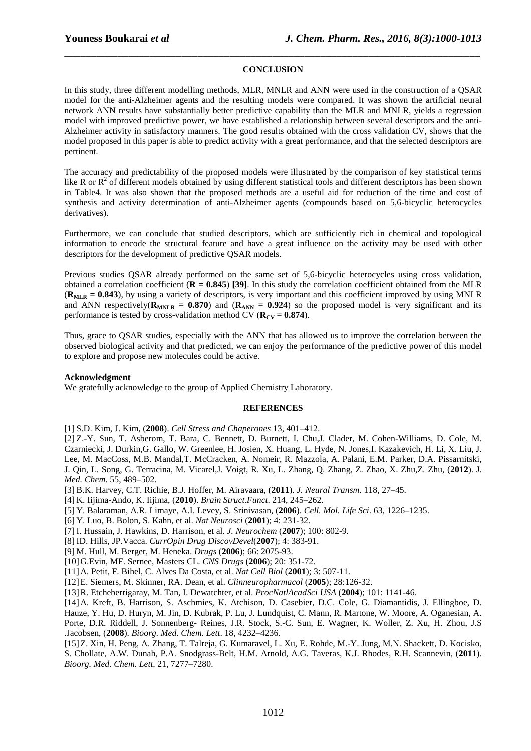# \_\_\_\_\_\_\_\_\_\_\_\_\_\_\_\_\_\_\_\_\_\_\_\_\_\_\_\_\_\_\_\_\_\_\_\_\_\_\_\_\_\_\_\_\_\_\_\_\_\_\_\_\_\_\_\_\_\_\_\_\_\_\_\_\_\_\_\_\_\_\_\_\_\_\_\_\_\_ **CONCLUSION**

In this study, three different modelling methods, MLR, MNLR and ANN were used in the construction of a QSAR model for the anti-Alzheimer agents and the resulting models were compared. It was shown the artificial neural network ANN results have substantially better predictive capability than the MLR and MNLR, yields a regression model with improved predictive power, we have established a relationship between several descriptors and the anti-Alzheimer activity in satisfactory manners. The good results obtained with the cross validation CV, shows that the model proposed in this paper is able to predict activity with a great performance, and that the selected descriptors are pertinent.

The accuracy and predictability of the proposed models were illustrated by the comparison of key statistical terms like R or  $R^2$  of different models obtained by using different statistical tools and different descriptors has been shown in Table4. It was also shown that the proposed methods are a useful aid for reduction of the time and cost of synthesis and activity determination of anti-Alzheimer agents (compounds based on 5,6-bicyclic heterocycles derivatives).

Furthermore, we can conclude that studied descriptors, which are sufficiently rich in chemical and topological information to encode the structural feature and have a great influence on the activity may be used with other descriptors for the development of predictive QSAR models.

Previous studies QSAR already performed on the same set of 5,6-bicyclic heterocycles using cross validation, obtained a correlation coefficient (**R = 0.845**) **[39]**. In this study the correlation coefficient obtained from the MLR  $(\mathbf{R}_{\text{MLR}} = 0.843)$ , by using a variety of descriptors, is very important and this coefficient improved by using MNLR and ANN respectively( $R_{MNLR}$  = 0.870) and ( $R_{ANN}$  = 0.924) so the proposed model is very significant and its performance is tested by cross-validation method CV ( $\mathbf{R}_{\text{CV}} = 0.874$ ).

Thus, grace to QSAR studies, especially with the ANN that has allowed us to improve the correlation between the observed biological activity and that predicted, we can enjoy the performance of the predictive power of this model to explore and propose new molecules could be active.

### **Acknowledgment**

We gratefully acknowledge to the group of Applied Chemistry Laboratory.

### **REFERENCES**

[1] S.D. Kim, J. Kim, (**2008**). *Cell Stress and Chaperones* 13, 401–412.

[2] Z.-Y. Sun, T. Asberom, T. Bara, C. Bennett, D. Burnett, I. Chu,J. Clader, M. Cohen-Williams, D. Cole, M. Czarniecki, J. Durkin,G. Gallo, W. Greenlee, H. Josien, X. Huang, L. Hyde, N. Jones,I. Kazakevich, H. Li, X. Liu, J. Lee, M. MacCoss, M.B. Mandal,T. McCracken, A. Nomeir, R. Mazzola, A. Palani, E.M. Parker, D.A. Pissarnitski, J. Qin, L. Song, G. Terracina, M. Vicarel,J. Voigt, R. Xu, L. Zhang, Q. Zhang, Z. Zhao, X. Zhu,Z. Zhu, (**2012**). J. *Med. Chem*. 55, 489–502.

[3] B.K. Harvey, C.T. Richie, B.J. Hoffer, M. Airavaara, (**2011**). *J. Neural Transm*. 118, 27–45.

[4] K. Iijima-Ando, K. Iijima, (**2010**). *Brain Struct.Funct*. 214, 245–262.

- [5] Y. Balaraman, A.R. Limaye, A.I. Levey, S. Srinivasan, (**2006**). *Cell. Mol. Life Sci*. 63, 1226–1235.
- [6] Y. Luo, B. Bolon, S. Kahn, et al. *Nat Neurosci* (**2001**); 4: 231-32.
- [7] I. Hussain, J. Hawkins, D. Harrison, et al*. J. Neurochem* (**2007**); 100: 802-9.
- [8] ID. Hills, JP.Vacca. *CurrOpin Drug DiscovDevel*(**2007**); 4: 383-91.
- [9] M. Hull, M. Berger, M. Heneka. *Drugs* (**2006**); 66: 2075-93.
- [10]G.Evin, MF. Sernee, Masters CL. *CNS Drugs* (**2006**); 20: 351-72.

[11]A. Petit, F. Bihel, C. Alves Da Costa, et al. *Nat Cell Biol* (**2001**); 3: 507-11.

[12]E. Siemers, M. Skinner, RA. Dean, et al. *Clinneuropharmacol* (**2005**); 28:126-32.

[13]R. Etcheberrigaray, M. Tan, I. Dewatchter, et al. *ProcNatlAcadSci USA* (**2004**); 101: 1141-46.

[14]A. Kreft, B. Harrison, S. Aschmies, K. Atchison, D. Casebier, D.C. Cole, G. Diamantidis, J. Ellingboe, D.

Hauze, Y. Hu, D. Huryn, M. Jin, D. Kubrak, P. Lu, J. Lundquist, C. Mann, R. Martone, W. Moore, A. Oganesian, A. Porte, D.R. Riddell, J. Sonnenberg- Reines, J.R. Stock, S.-C. Sun, E. Wagner, K. Woller, Z. Xu, H. Zhou, J.S .Jacobsen, (**2008**). *Bioorg. Med. Chem. Lett*. 18, 4232–4236.

[15]Z. Xin, H. Peng, A. Zhang, T. Talreja, G. Kumaravel, L. Xu, E. Rohde, M.-Y. Jung, M.N. Shackett, D. Kocisko, S. Chollate, A.W. Dunah, P.A. Snodgrass-Belt, H.M. Arnold, A.G. Taveras, K.J. Rhodes, R.H. Scannevin, (**2011**). *Bioorg. Med. Chem. Lett*. 21, 7277–7280.